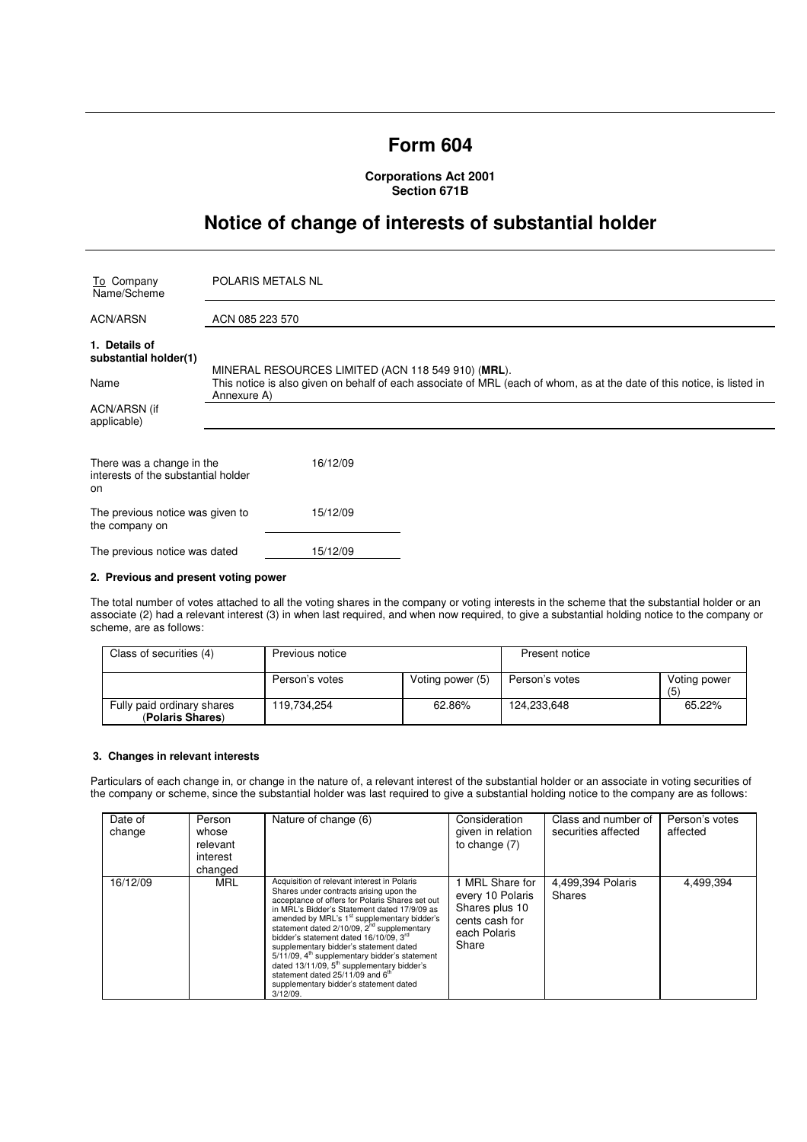# **Form 604**

**Corporations Act 2001 Section 671B** 

# **Notice of change of interests of substantial holder**

| To Company<br>Name/Scheme                                              | POLARIS METALS NL                                                                                                                                                             |  |  |
|------------------------------------------------------------------------|-------------------------------------------------------------------------------------------------------------------------------------------------------------------------------|--|--|
| ACN/ARSN                                                               | ACN 085 223 570                                                                                                                                                               |  |  |
| 1. Details of<br>substantial holder(1)<br>Name                         | MINERAL RESOURCES LIMITED (ACN 118 549 910) (MRL).<br>This notice is also given on behalf of each associate of MRL (each of whom, as at the date of this notice, is listed in |  |  |
| ACN/ARSN (if<br>applicable)                                            | Annexure A)                                                                                                                                                                   |  |  |
| There was a change in the<br>interests of the substantial holder<br>on | 16/12/09                                                                                                                                                                      |  |  |
| The previous notice was given to<br>the company on                     | 15/12/09                                                                                                                                                                      |  |  |
| The previous notice was dated                                          | 15/12/09                                                                                                                                                                      |  |  |

### **2. Previous and present voting power**

The total number of votes attached to all the voting shares in the company or voting interests in the scheme that the substantial holder or an associate (2) had a relevant interest (3) in when last required, and when now required, to give a substantial holding notice to the company or scheme, are as follows:

| Class of securities (4)                        | Previous notice |                  | Present notice |                     |
|------------------------------------------------|-----------------|------------------|----------------|---------------------|
|                                                | Person's votes  | Voting power (5) | Person's votes | Voting power<br>(5) |
| Fully paid ordinary shares<br>(Polaris Shares) | 119.734.254     | 62.86%           | 124.233.648    | 65.22%              |

#### **3. Changes in relevant interests**

Particulars of each change in, or change in the nature of, a relevant interest of the substantial holder or an associate in voting securities of the company or scheme, since the substantial holder was last required to give a substantial holding notice to the company are as follows:

| Date of<br>change | Person<br>whose<br>relevant<br>interest<br>changed | Nature of change (6)                                                                                                                                                                                                                                                                                                                                                                                                                                                                                                                                                                                                        | Consideration<br>given in relation<br>to change $(7)$                                            | Class and number of<br>securities affected | Person's votes<br>affected |
|-------------------|----------------------------------------------------|-----------------------------------------------------------------------------------------------------------------------------------------------------------------------------------------------------------------------------------------------------------------------------------------------------------------------------------------------------------------------------------------------------------------------------------------------------------------------------------------------------------------------------------------------------------------------------------------------------------------------------|--------------------------------------------------------------------------------------------------|--------------------------------------------|----------------------------|
| 16/12/09          | MRL                                                | Acquisition of relevant interest in Polaris<br>Shares under contracts arising upon the<br>acceptance of offers for Polaris Shares set out<br>in MRL's Bidder's Statement dated 17/9/09 as<br>amended by MRL's 1 <sup>st</sup> supplementary bidder's<br>statement dated 2/10/09, 2 <sup>nd</sup> supplementary<br>bidder's statement dated 16/10/09. 3rd<br>supplementary bidder's statement dated<br>5/11/09, 4 <sup>th</sup> supplementary bidder's statement<br>dated $13/11/09$ , $5th$ supplementary bidder's<br>statement dated 25/11/09 and 6 <sup>th</sup><br>supplementary bidder's statement dated<br>$3/12/09$ . | 1 MRL Share for<br>every 10 Polaris<br>Shares plus 10<br>cents cash for<br>each Polaris<br>Share | 4,499,394 Polaris<br>Shares                | 4,499,394                  |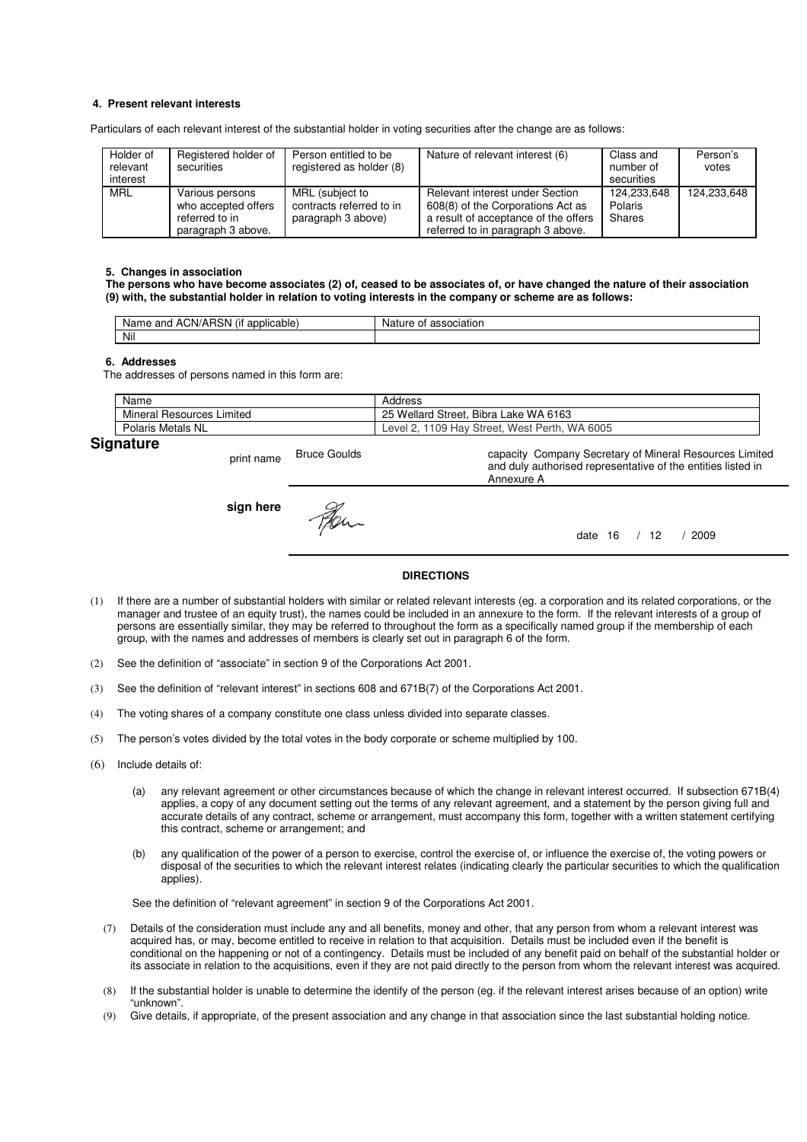## **4. Present relevant interests**

Particulars of each relevant interest of the substantial holder in voting securities after the change are as follows:

| Holder of<br>relevant<br>interest | Registered holder of<br>securities                                             | Person entitled to be<br>registered as holder (8)                 | Nature of relevant interest (6)                                                                                                                   | Class and<br>number of<br>securities | Person's<br>votes |
|-----------------------------------|--------------------------------------------------------------------------------|-------------------------------------------------------------------|---------------------------------------------------------------------------------------------------------------------------------------------------|--------------------------------------|-------------------|
| <b>MRL</b>                        | Various persons<br>who accepted offers<br>referred to in<br>paragraph 3 above. | MRL (subject to<br>contracts referred to in<br>paragraph 3 above) | Relevant interest under Section<br>608(8) of the Corporations Act as<br>a result of acceptance of the offers<br>referred to in paragraph 3 above. | 124.233.648<br>Polaris<br>Shares     | 124,233,648       |

#### **5. Changes in association**

**The persons who have become associates (2) of, ceased to be associates of, or have changed the nature of their association (9) with, the substantial holder in relation to voting interests in the company or scheme are as follows:** 

| $\cdots$<br>ימ<br>ACN/AH<br>and<br>licable:<br>Name<br>ווסו<br>$-1111$<br>. . | ciation<br>Nai.<br>nt |
|-------------------------------------------------------------------------------|-----------------------|
| Nil                                                                           |                       |

#### **6. Addresses**

The addresses of persons named in this form are:

|    | Name                            | Address                                          |
|----|---------------------------------|--------------------------------------------------|
|    | Mineral<br>Resources<br>Limited | . Bibra Lake WA 6163<br>25 Wellard Street.       |
|    | Polaris Metals NL               | WA 6005<br>1109 Hay Street, West Perth,<br>Level |
| ~- |                                 |                                                  |

# **Signature**

print name Bruce Goulds capacity Company Secretary of Mineral Resources Limited and duly authorised representative of the entities listed in Annexure A **sign here** Fer. date 16 / 12 / 2009

### **DIRECTIONS**

- (1) If there are a number of substantial holders with similar or related relevant interests (eg. a corporation and its related corporations, or the manager and trustee of an equity trust), the names could be included in an annexure to the form. If the relevant interests of a group of persons are essentially similar, they may be referred to throughout the form as a specifically named group if the membership of each group, with the names and addresses of members is clearly set out in paragraph 6 of the form.
- (2) See the definition of "associate" in section 9 of the Corporations Act 2001.
- (3) See the definition of "relevant interest" in sections 608 and 671B(7) of the Corporations Act 2001.
- (4) The voting shares of a company constitute one class unless divided into separate classes.
- (5) The person's votes divided by the total votes in the body corporate or scheme multiplied by 100.
- (6) Include details of:
	- (a) any relevant agreement or other circumstances because of which the change in relevant interest occurred. If subsection 671B(4) applies, a copy of any document setting out the terms of any relevant agreement, and a statement by the person giving full and accurate details of any contract, scheme or arrangement, must accompany this form, together with a written statement certifying this contract, scheme or arrangement; and
	- (b) any qualification of the power of a person to exercise, control the exercise of, or influence the exercise of, the voting powers or disposal of the securities to which the relevant interest relates (indicating clearly the particular securities to which the qualification applies).

See the definition of "relevant agreement" in section 9 of the Corporations Act 2001.

- (7) Details of the consideration must include any and all benefits, money and other, that any person from whom a relevant interest was acquired has, or may, become entitled to receive in relation to that acquisition. Details must be included even if the benefit is conditional on the happening or not of a contingency. Details must be included of any benefit paid on behalf of the substantial holder or its associate in relation to the acquisitions, even if they are not paid directly to the person from whom the relevant interest was acquired.
- (8) If the substantial holder is unable to determine the identify of the person (eg. if the relevant interest arises because of an option) write "unknown".
- (9) Give details, if appropriate, of the present association and any change in that association since the last substantial holding notice.